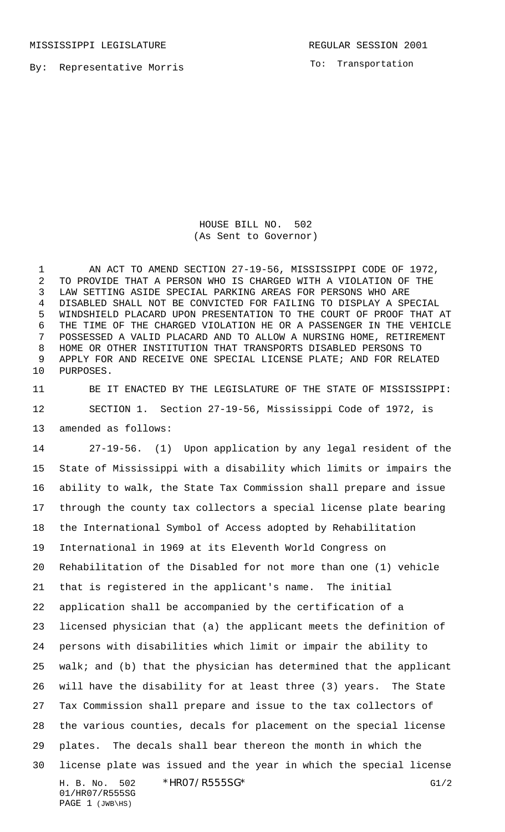MISSISSIPPI LEGISLATURE **REGULAR SESSION 2001** 

By: Representative Morris

To: Transportation

HOUSE BILL NO. 502 (As Sent to Governor)

 AN ACT TO AMEND SECTION 27-19-56, MISSISSIPPI CODE OF 1972, TO PROVIDE THAT A PERSON WHO IS CHARGED WITH A VIOLATION OF THE LAW SETTING ASIDE SPECIAL PARKING AREAS FOR PERSONS WHO ARE DISABLED SHALL NOT BE CONVICTED FOR FAILING TO DISPLAY A SPECIAL WINDSHIELD PLACARD UPON PRESENTATION TO THE COURT OF PROOF THAT AT THE TIME OF THE CHARGED VIOLATION HE OR A PASSENGER IN THE VEHICLE POSSESSED A VALID PLACARD AND TO ALLOW A NURSING HOME, RETIREMENT HOME OR OTHER INSTITUTION THAT TRANSPORTS DISABLED PERSONS TO APPLY FOR AND RECEIVE ONE SPECIAL LICENSE PLATE; AND FOR RELATED PURPOSES.

 BE IT ENACTED BY THE LEGISLATURE OF THE STATE OF MISSISSIPPI: SECTION 1. Section 27-19-56, Mississippi Code of 1972, is amended as follows:

H. B. No. 502 \*HRO7/R555SG\* G1/2 01/HR07/R555SG PAGE 1 (JWB\HS) 27-19-56. (1) Upon application by any legal resident of the State of Mississippi with a disability which limits or impairs the ability to walk, the State Tax Commission shall prepare and issue through the county tax collectors a special license plate bearing the International Symbol of Access adopted by Rehabilitation International in 1969 at its Eleventh World Congress on Rehabilitation of the Disabled for not more than one (1) vehicle that is registered in the applicant's name. The initial application shall be accompanied by the certification of a licensed physician that (a) the applicant meets the definition of persons with disabilities which limit or impair the ability to walk; and (b) that the physician has determined that the applicant will have the disability for at least three (3) years. The State Tax Commission shall prepare and issue to the tax collectors of the various counties, decals for placement on the special license plates. The decals shall bear thereon the month in which the license plate was issued and the year in which the special license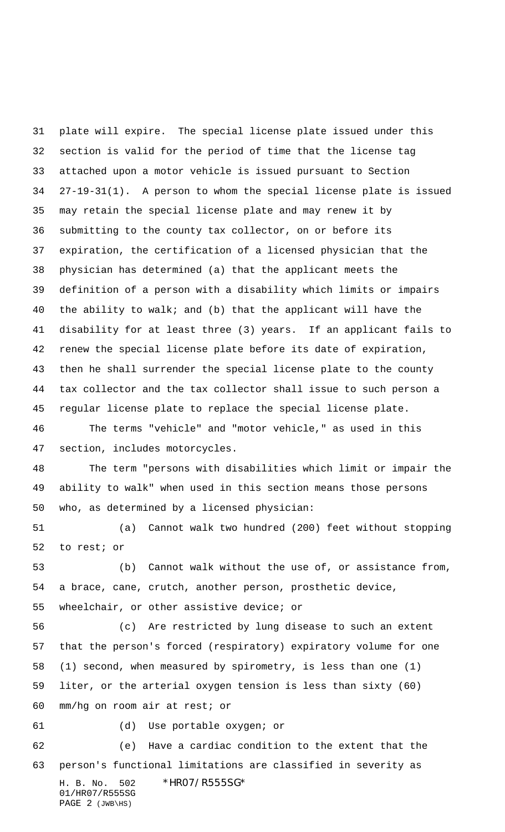H. B. No. 502 \*HR07/R555SG\* 01/HR07/R555SG PAGE 2 (JWB\HS) plate will expire. The special license plate issued under this section is valid for the period of time that the license tag attached upon a motor vehicle is issued pursuant to Section 27-19-31(1). A person to whom the special license plate is issued may retain the special license plate and may renew it by submitting to the county tax collector, on or before its expiration, the certification of a licensed physician that the physician has determined (a) that the applicant meets the definition of a person with a disability which limits or impairs the ability to walk; and (b) that the applicant will have the disability for at least three (3) years. If an applicant fails to renew the special license plate before its date of expiration, then he shall surrender the special license plate to the county tax collector and the tax collector shall issue to such person a regular license plate to replace the special license plate. The terms "vehicle" and "motor vehicle," as used in this section, includes motorcycles. The term "persons with disabilities which limit or impair the ability to walk" when used in this section means those persons who, as determined by a licensed physician: (a) Cannot walk two hundred (200) feet without stopping to rest; or (b) Cannot walk without the use of, or assistance from, a brace, cane, crutch, another person, prosthetic device, wheelchair, or other assistive device; or (c) Are restricted by lung disease to such an extent that the person's forced (respiratory) expiratory volume for one (1) second, when measured by spirometry, is less than one (1) liter, or the arterial oxygen tension is less than sixty (60) mm/hg on room air at rest; or (d) Use portable oxygen; or (e) Have a cardiac condition to the extent that the person's functional limitations are classified in severity as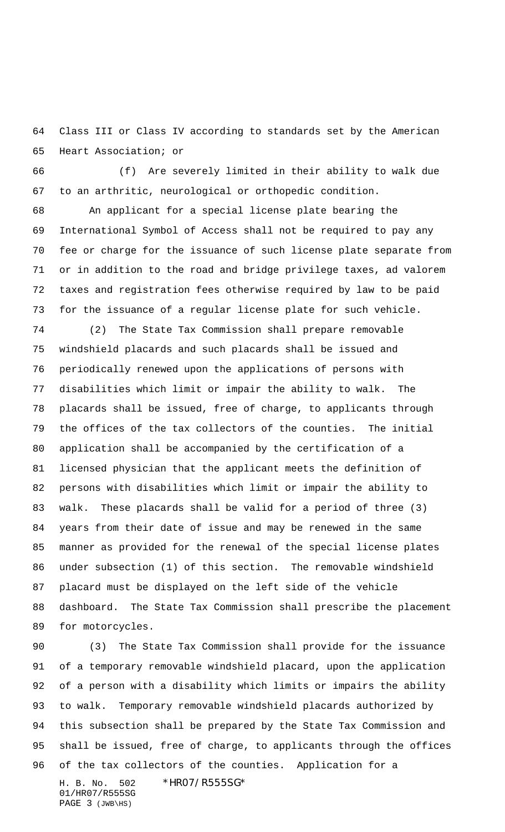Class III or Class IV according to standards set by the American Heart Association; or

 (f) Are severely limited in their ability to walk due to an arthritic, neurological or orthopedic condition.

 An applicant for a special license plate bearing the International Symbol of Access shall not be required to pay any fee or charge for the issuance of such license plate separate from or in addition to the road and bridge privilege taxes, ad valorem taxes and registration fees otherwise required by law to be paid for the issuance of a regular license plate for such vehicle.

 (2) The State Tax Commission shall prepare removable windshield placards and such placards shall be issued and periodically renewed upon the applications of persons with disabilities which limit or impair the ability to walk. The placards shall be issued, free of charge, to applicants through the offices of the tax collectors of the counties. The initial application shall be accompanied by the certification of a licensed physician that the applicant meets the definition of persons with disabilities which limit or impair the ability to walk. These placards shall be valid for a period of three (3) years from their date of issue and may be renewed in the same manner as provided for the renewal of the special license plates under subsection (1) of this section. The removable windshield placard must be displayed on the left side of the vehicle dashboard. The State Tax Commission shall prescribe the placement for motorcycles.

H. B. No. 502 \*HR07/R555SG\* (3) The State Tax Commission shall provide for the issuance of a temporary removable windshield placard, upon the application of a person with a disability which limits or impairs the ability to walk. Temporary removable windshield placards authorized by this subsection shall be prepared by the State Tax Commission and shall be issued, free of charge, to applicants through the offices of the tax collectors of the counties. Application for a

01/HR07/R555SG PAGE 3 (JWB\HS)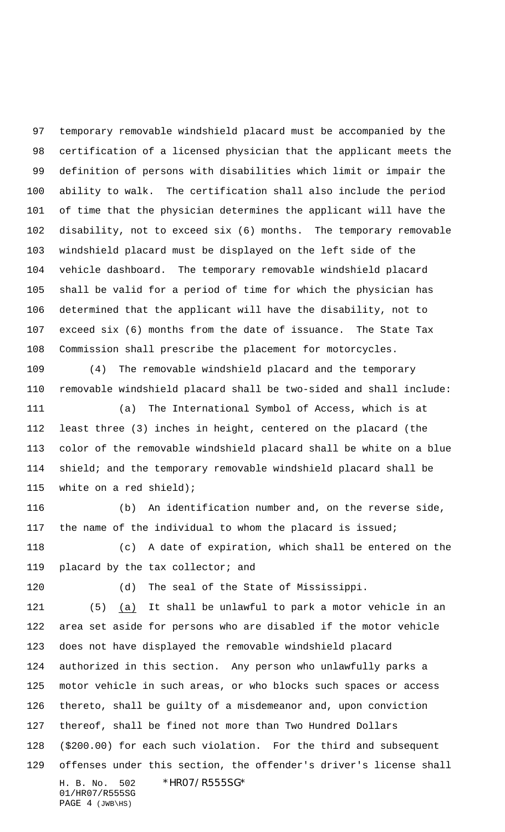temporary removable windshield placard must be accompanied by the certification of a licensed physician that the applicant meets the definition of persons with disabilities which limit or impair the ability to walk. The certification shall also include the period of time that the physician determines the applicant will have the disability, not to exceed six (6) months. The temporary removable windshield placard must be displayed on the left side of the vehicle dashboard. The temporary removable windshield placard shall be valid for a period of time for which the physician has determined that the applicant will have the disability, not to exceed six (6) months from the date of issuance. The State Tax Commission shall prescribe the placement for motorcycles.

 (4) The removable windshield placard and the temporary removable windshield placard shall be two-sided and shall include:

 (a) The International Symbol of Access, which is at least three (3) inches in height, centered on the placard (the color of the removable windshield placard shall be white on a blue shield; and the temporary removable windshield placard shall be white on a red shield);

 (b) An identification number and, on the reverse side, the name of the individual to whom the placard is issued;

 (c) A date of expiration, which shall be entered on the placard by the tax collector; and

(d) The seal of the State of Mississippi.

H. B. No. 502 \*HR07/R555SG\* 01/HR07/R555SG (5) (a) It shall be unlawful to park a motor vehicle in an area set aside for persons who are disabled if the motor vehicle does not have displayed the removable windshield placard authorized in this section. Any person who unlawfully parks a motor vehicle in such areas, or who blocks such spaces or access thereto, shall be guilty of a misdemeanor and, upon conviction thereof, shall be fined not more than Two Hundred Dollars (\$200.00) for each such violation. For the third and subsequent offenses under this section, the offender's driver's license shall

PAGE 4 (JWB\HS)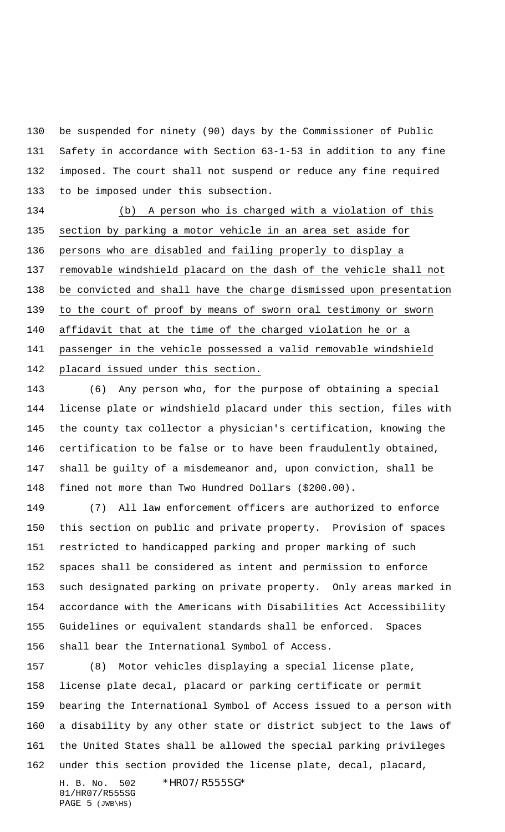be suspended for ninety (90) days by the Commissioner of Public Safety in accordance with Section 63-1-53 in addition to any fine imposed. The court shall not suspend or reduce any fine required to be imposed under this subsection.

 (b) A person who is charged with a violation of this section by parking a motor vehicle in an area set aside for persons who are disabled and failing properly to display a removable windshield placard on the dash of the vehicle shall not be convicted and shall have the charge dismissed upon presentation to the court of proof by means of sworn oral testimony or sworn 140 affidavit that at the time of the charged violation he or a passenger in the vehicle possessed a valid removable windshield placard issued under this section.

 (6) Any person who, for the purpose of obtaining a special license plate or windshield placard under this section, files with the county tax collector a physician's certification, knowing the certification to be false or to have been fraudulently obtained, shall be guilty of a misdemeanor and, upon conviction, shall be fined not more than Two Hundred Dollars (\$200.00).

 (7) All law enforcement officers are authorized to enforce this section on public and private property. Provision of spaces restricted to handicapped parking and proper marking of such spaces shall be considered as intent and permission to enforce such designated parking on private property. Only areas marked in accordance with the Americans with Disabilities Act Accessibility Guidelines or equivalent standards shall be enforced. Spaces shall bear the International Symbol of Access.

 (8) Motor vehicles displaying a special license plate, license plate decal, placard or parking certificate or permit bearing the International Symbol of Access issued to a person with a disability by any other state or district subject to the laws of the United States shall be allowed the special parking privileges under this section provided the license plate, decal, placard,

01/HR07/R555SG PAGE (JWB\HS)

H. B. No. 502 \*HR07/R555SG\*